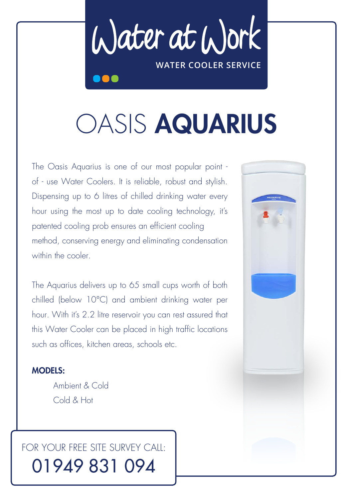Water at Work **water cooler service**

# OASIS AQUARIUS

The Oasis Aquarius is one of our most popular point of - use Water Coolers. it is reliable, robust and stylish. Dispensing up to 6 litres of chilled drinking water every hour using the most up to date cooling technology, it's patented cooling prob ensures an efficient cooling method, conserving energy and eliminating condensation within the cooler.

The Aquarius delivers up to 65 small cups worth of both chilled (below 10°C) and ambient drinking water per hour. With it's 2.2 litre reservoir you can rest assured that this Water Cooler can be placed in high traffic locations such as offices, kitchen areas, schools etc.

### models:

 ambient & Cold Cold & Hot

## FOR YOUR FRFE SITE SURVEY CAIL: 01949 831 094